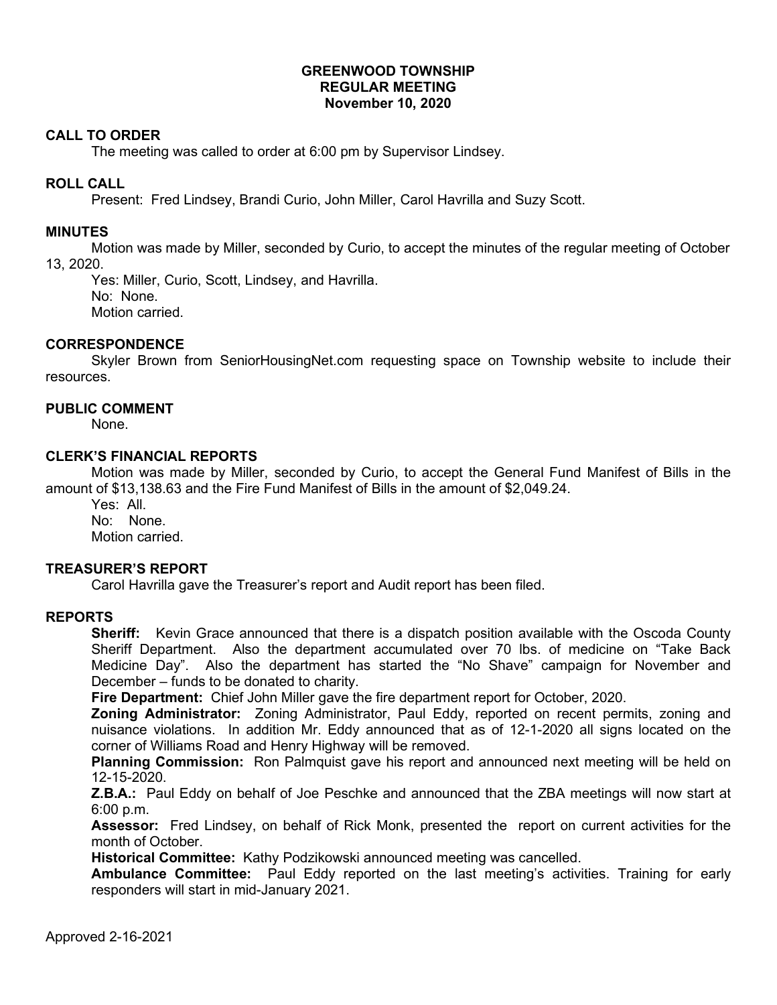### **GREENWOOD TOWNSHIP REGULAR MEETING November 10, 2020**

## **CALL TO ORDER**

The meeting was called to order at 6:00 pm by Supervisor Lindsey.

### **ROLL CALL**

Present: Fred Lindsey, Brandi Curio, John Miller, Carol Havrilla and Suzy Scott.

### **MINUTES**

Motion was made by Miller, seconded by Curio, to accept the minutes of the regular meeting of October 13, 2020.

Yes: Miller, Curio, Scott, Lindsey, and Havrilla. No: None. Motion carried.

## **CORRESPONDENCE**

Skyler Brown from SeniorHousingNet.com requesting space on Township website to include their resources.

## **PUBLIC COMMENT**

None.

#### **CLERK'S FINANCIAL REPORTS**

Motion was made by Miller, seconded by Curio, to accept the General Fund Manifest of Bills in the amount of \$13,138.63 and the Fire Fund Manifest of Bills in the amount of \$2,049.24.

Yes: All. No: None. Motion carried.

## **TREASURER'S REPORT**

Carol Havrilla gave the Treasurer's report and Audit report has been filed.

#### **REPORTS**

**Sheriff:** Kevin Grace announced that there is a dispatch position available with the Oscoda County Sheriff Department. Also the department accumulated over 70 lbs. of medicine on "Take Back Medicine Day". Also the department has started the "No Shave" campaign for November and December – funds to be donated to charity.

**Fire Department:** Chief John Miller gave the fire department report for October, 2020.

**Zoning Administrator:** Zoning Administrator, Paul Eddy, reported on recent permits, zoning and nuisance violations. In addition Mr. Eddy announced that as of 12-1-2020 all signs located on the corner of Williams Road and Henry Highway will be removed.

**Planning Commission:** Ron Palmquist gave his report and announced next meeting will be held on 12-15-2020.

**Z.B.A.:** Paul Eddy on behalf of Joe Peschke and announced that the ZBA meetings will now start at 6:00 p.m.

**Assessor:** Fred Lindsey, on behalf of Rick Monk, presented the report on current activities for the month of October.

**Historical Committee:** Kathy Podzikowski announced meeting was cancelled.

**Ambulance Committee:** Paul Eddy reported on the last meeting's activities. Training for early responders will start in mid-January 2021.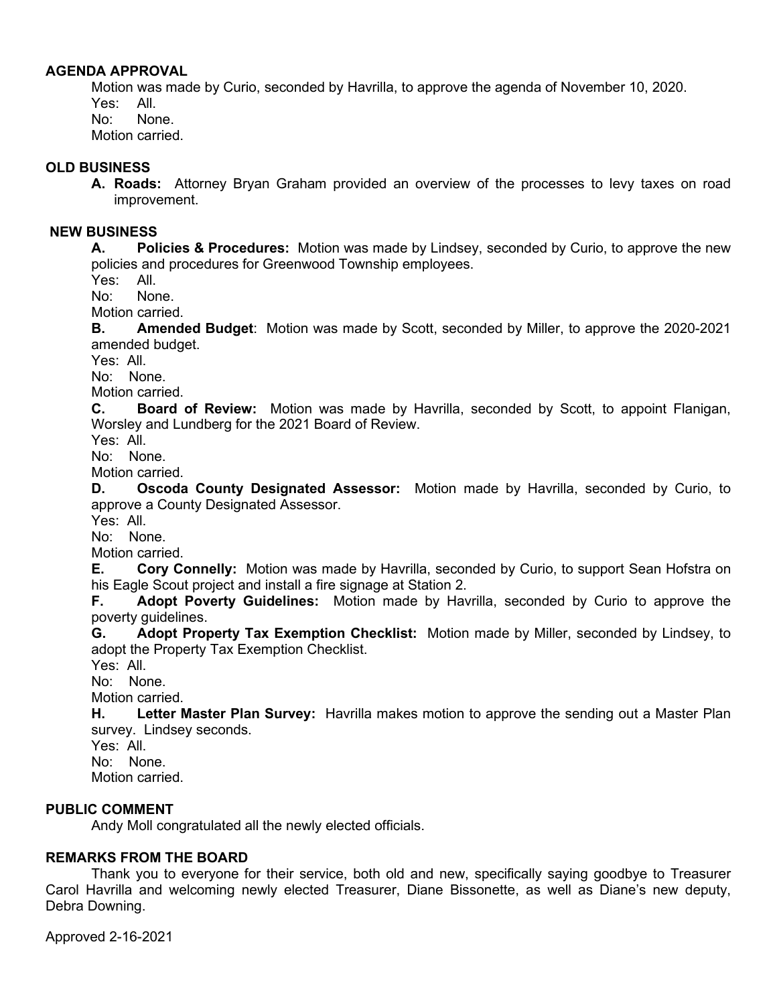## **AGENDA APPROVAL**

Motion was made by Curio, seconded by Havrilla, to approve the agenda of November 10, 2020. Yes: All. No: None. Motion carried.

## **OLD BUSINESS**

**A. Roads:** Attorney Bryan Graham provided an overview of the processes to levy taxes on road improvement.

## **NEW BUSINESS**

**A. Policies & Procedures:** Motion was made by Lindsey, seconded by Curio, to approve the new policies and procedures for Greenwood Township employees.

Yes: All.

No: None.

Motion carried.

**B. Amended Budget**: Motion was made by Scott, seconded by Miller, to approve the 2020-2021 amended budget.

Yes: All.

No: None.

Motion carried.

**C. Board of Review:** Motion was made by Havrilla, seconded by Scott, to appoint Flanigan, Worsley and Lundberg for the 2021 Board of Review.

Yes: All.

No: None.

Motion carried.

**D. Oscoda County Designated Assessor:** Motion made by Havrilla, seconded by Curio, to approve a County Designated Assessor.

Yes: All.

No: None.

Motion carried.

**E. Cory Connelly:** Motion was made by Havrilla, seconded by Curio, to support Sean Hofstra on his Eagle Scout project and install a fire signage at Station 2.

**F. Adopt Poverty Guidelines:** Motion made by Havrilla, seconded by Curio to approve the poverty guidelines.

**G. Adopt Property Tax Exemption Checklist:** Motion made by Miller, seconded by Lindsey, to adopt the Property Tax Exemption Checklist.

Yes: All.

No: None.

Motion carried.

**H. Letter Master Plan Survey:** Havrilla makes motion to approve the sending out a Master Plan survey. Lindsey seconds.

Yes: All.

No: None.

Motion carried.

## **PUBLIC COMMENT**

Andy Moll congratulated all the newly elected officials.

## **REMARKS FROM THE BOARD**

Thank you to everyone for their service, both old and new, specifically saying goodbye to Treasurer Carol Havrilla and welcoming newly elected Treasurer, Diane Bissonette, as well as Diane's new deputy, Debra Downing.

Approved 2-16-2021